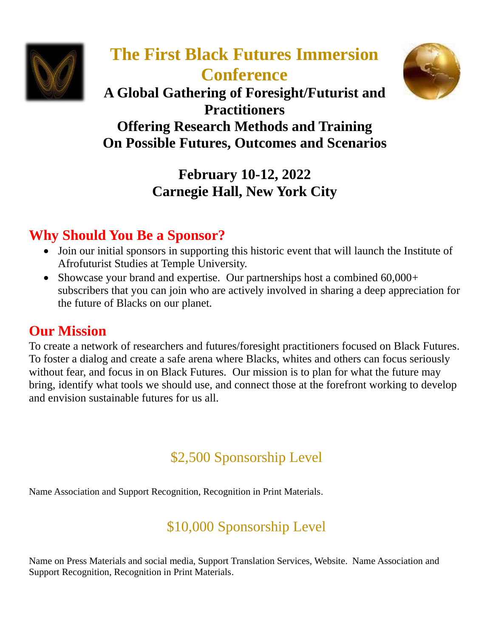

# **The First Black Futures Immersion Conference**



**A Global Gathering of Foresight/Futurist and Practitioners Offering Research Methods and Training On Possible Futures, Outcomes and Scenarios**

> **February 10-12, 2022 Carnegie Hall, New York City**

## **Why Should You Be a Sponsor?**

- Join our initial sponsors in supporting this historic event that will launch the Institute of Afrofuturist Studies at Temple University.
- Showcase your brand and expertise. Our partnerships host a combined 60,000+ subscribers that you can join who are actively involved in sharing a deep appreciation for the future of Blacks on our planet.

### **Our Mission**

To create a network of researchers and futures/foresight practitioners focused on Black Futures. To foster a dialog and create a safe arena where Blacks, whites and others can focus seriously without fear, and focus in on Black Futures. Our mission is to plan for what the future may bring, identify what tools we should use, and connect those at the forefront working to develop and envision sustainable futures for us all.

## \$2,500 Sponsorship Level

Name Association and Support Recognition, Recognition in Print Materials.

## \$10,000 Sponsorship Level

Name on Press Materials and social media, Support Translation Services, Website. Name Association and Support Recognition, Recognition in Print Materials.